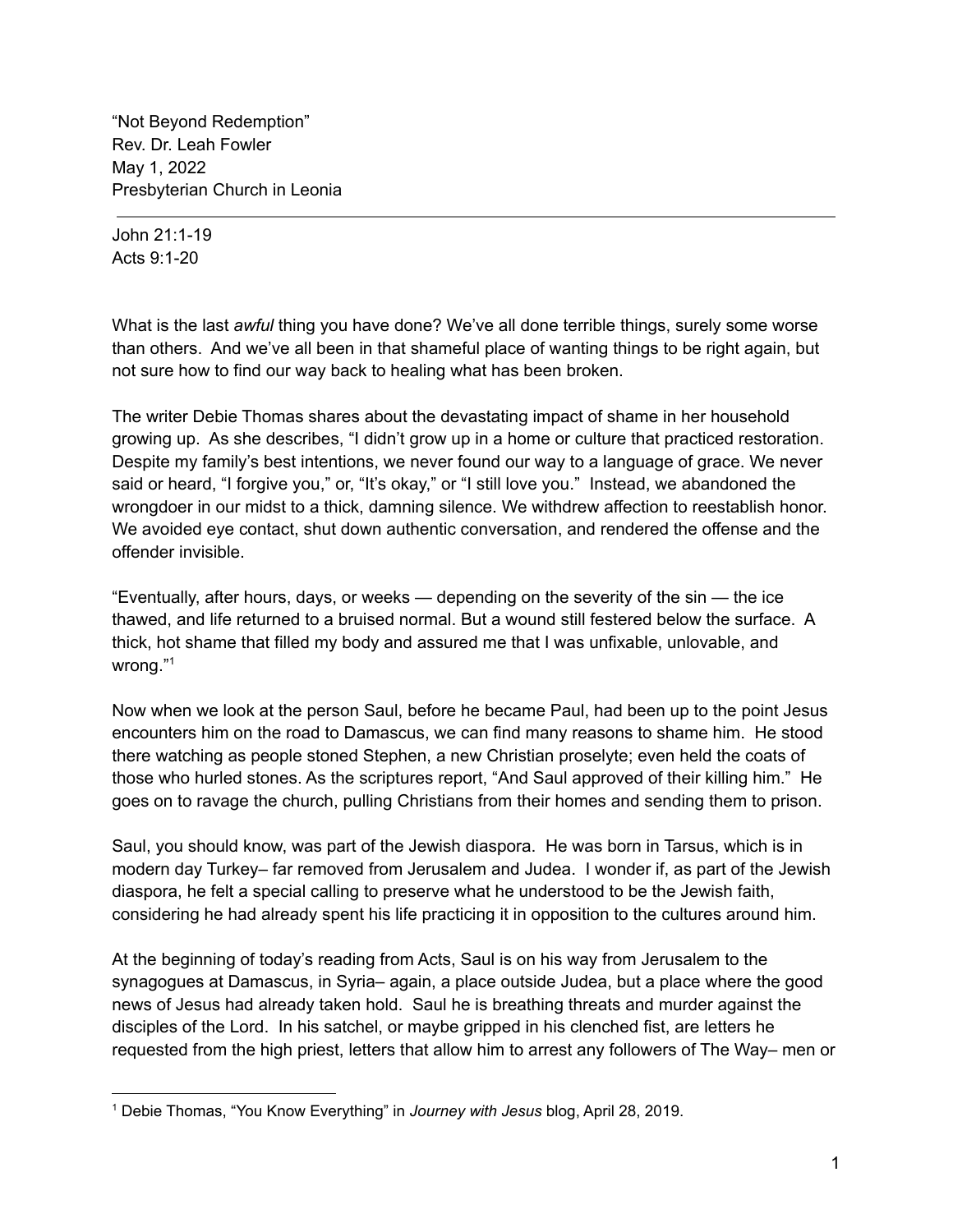"Not Beyond Redemption" Rev. Dr. Leah Fowler May 1, 2022 Presbyterian Church in Leonia

John 21:1-19 Acts 9:1-20

What is the last *awful* thing you have done? We've all done terrible things, surely some worse than others. And we've all been in that shameful place of wanting things to be right again, but not sure how to find our way back to healing what has been broken.

The writer Debie Thomas shares about the devastating impact of shame in her household growing up. As she describes, "I didn't grow up in a home or culture that practiced restoration. Despite my family's best intentions, we never found our way to a language of grace. We never said or heard, "I forgive you," or, "It's okay," or "I still love you." Instead, we abandoned the wrongdoer in our midst to a thick, damning silence. We withdrew affection to reestablish honor. We avoided eye contact, shut down authentic conversation, and rendered the offense and the offender invisible.

"Eventually, after hours, days, or weeks — depending on the severity of the sin — the ice thawed, and life returned to a bruised normal. But a wound still festered below the surface. A thick, hot shame that filled my body and assured me that I was unfixable, unlovable, and wrong." 1

Now when we look at the person Saul, before he became Paul, had been up to the point Jesus encounters him on the road to Damascus, we can find many reasons to shame him. He stood there watching as people stoned Stephen, a new Christian proselyte; even held the coats of those who hurled stones. As the scriptures report, "And Saul approved of their killing him." He goes on to ravage the church, pulling Christians from their homes and sending them to prison.

Saul, you should know, was part of the Jewish diaspora. He was born in Tarsus, which is in modern day Turkey– far removed from Jerusalem and Judea. I wonder if, as part of the Jewish diaspora, he felt a special calling to preserve what he understood to be the Jewish faith, considering he had already spent his life practicing it in opposition to the cultures around him.

At the beginning of today's reading from Acts, Saul is on his way from Jerusalem to the synagogues at Damascus, in Syria– again, a place outside Judea, but a place where the good news of Jesus had already taken hold. Saul he is breathing threats and murder against the disciples of the Lord. In his satchel, or maybe gripped in his clenched fist, are letters he requested from the high priest, letters that allow him to arrest any followers of The Way– men or

<sup>1</sup> Debie Thomas, "You Know Everything" in *Journey with Jesus* blog, April 28, 2019.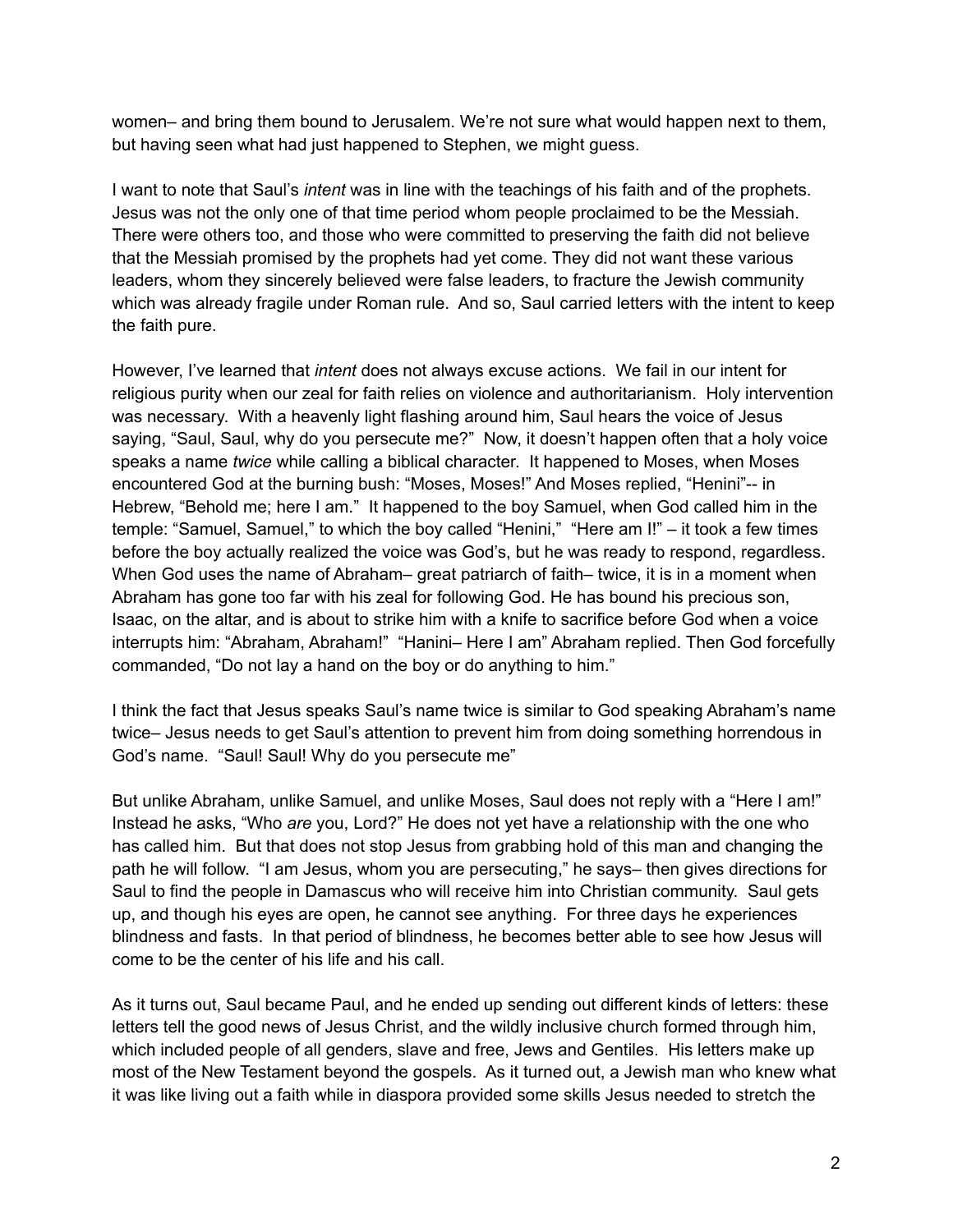women– and bring them bound to Jerusalem. We're not sure what would happen next to them, but having seen what had just happened to Stephen, we might guess.

I want to note that Saul's *intent* was in line with the teachings of his faith and of the prophets. Jesus was not the only one of that time period whom people proclaimed to be the Messiah. There were others too, and those who were committed to preserving the faith did not believe that the Messiah promised by the prophets had yet come. They did not want these various leaders, whom they sincerely believed were false leaders, to fracture the Jewish community which was already fragile under Roman rule. And so, Saul carried letters with the intent to keep the faith pure.

However, I've learned that *intent* does not always excuse actions. We fail in our intent for religious purity when our zeal for faith relies on violence and authoritarianism. Holy intervention was necessary. With a heavenly light flashing around him, Saul hears the voice of Jesus saying, "Saul, Saul, why do you persecute me?" Now, it doesn't happen often that a holy voice speaks a name *twice* while calling a biblical character. It happened to Moses, when Moses encountered God at the burning bush: "Moses, Moses!" And Moses replied, "Henini"-- in Hebrew, "Behold me; here I am." It happened to the boy Samuel, when God called him in the temple: "Samuel, Samuel," to which the boy called "Henini," "Here am I!" – it took a few times before the boy actually realized the voice was God's, but he was ready to respond, regardless. When God uses the name of Abraham– great patriarch of faith– twice, it is in a moment when Abraham has gone too far with his zeal for following God. He has bound his precious son, Isaac, on the altar, and is about to strike him with a knife to sacrifice before God when a voice interrupts him: "Abraham, Abraham!" "Hanini– Here I am" Abraham replied. Then God forcefully commanded, "Do not lay a hand on the boy or do anything to him."

I think the fact that Jesus speaks Saul's name twice is similar to God speaking Abraham's name twice– Jesus needs to get Saul's attention to prevent him from doing something horrendous in God's name. "Saul! Saul! Why do you persecute me"

But unlike Abraham, unlike Samuel, and unlike Moses, Saul does not reply with a "Here I am!" Instead he asks, "Who *are* you, Lord?" He does not yet have a relationship with the one who has called him. But that does not stop Jesus from grabbing hold of this man and changing the path he will follow. "I am Jesus, whom you are persecuting," he says– then gives directions for Saul to find the people in Damascus who will receive him into Christian community. Saul gets up, and though his eyes are open, he cannot see anything. For three days he experiences blindness and fasts. In that period of blindness, he becomes better able to see how Jesus will come to be the center of his life and his call.

As it turns out, Saul became Paul, and he ended up sending out different kinds of letters: these letters tell the good news of Jesus Christ, and the wildly inclusive church formed through him, which included people of all genders, slave and free, Jews and Gentiles. His letters make up most of the New Testament beyond the gospels. As it turned out, a Jewish man who knew what it was like living out a faith while in diaspora provided some skills Jesus needed to stretch the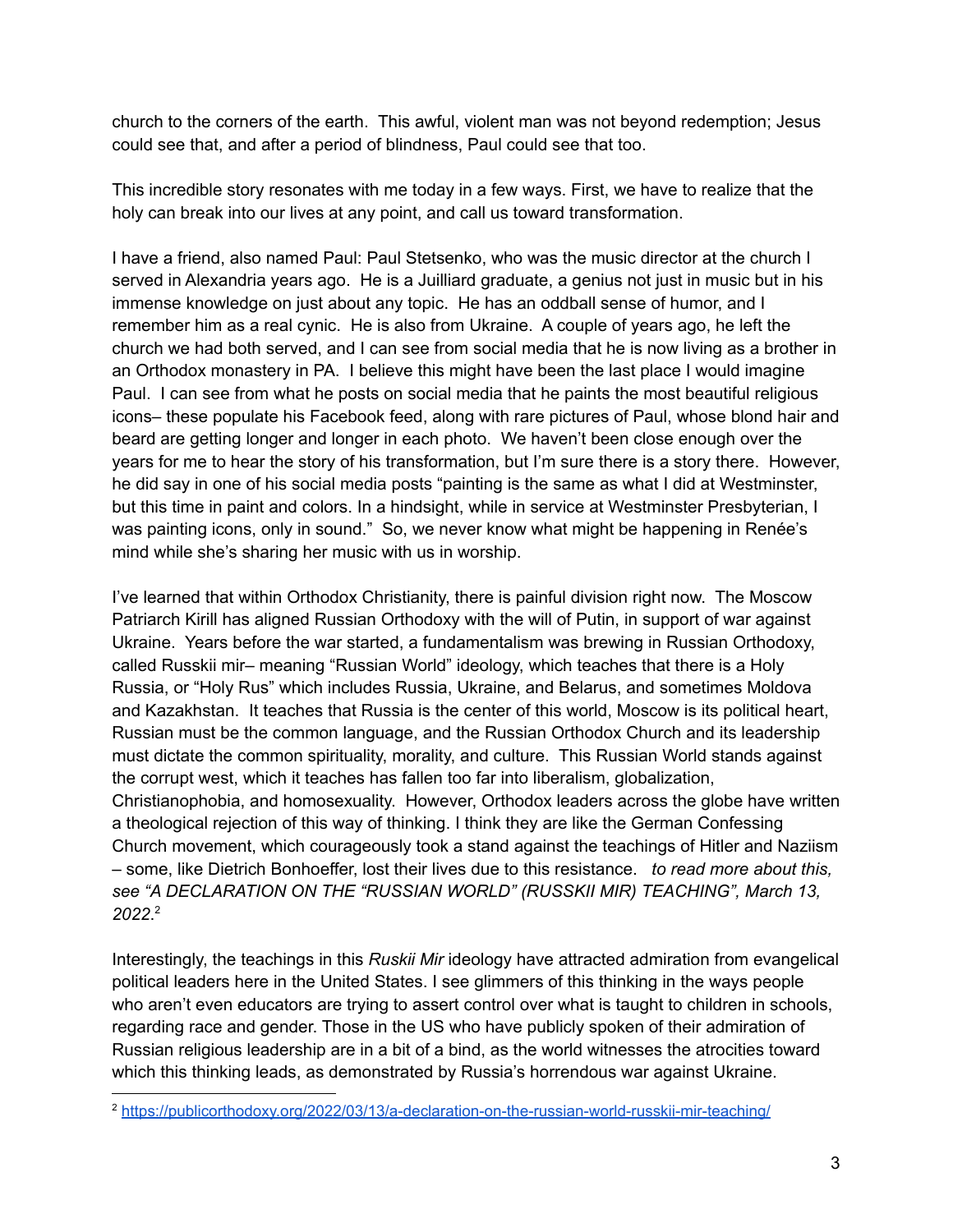church to the corners of the earth. This awful, violent man was not beyond redemption; Jesus could see that, and after a period of blindness, Paul could see that too.

This incredible story resonates with me today in a few ways. First, we have to realize that the holy can break into our lives at any point, and call us toward transformation.

I have a friend, also named Paul: Paul Stetsenko, who was the music director at the church I served in Alexandria years ago. He is a Juilliard graduate, a genius not just in music but in his immense knowledge on just about any topic. He has an oddball sense of humor, and I remember him as a real cynic. He is also from Ukraine. A couple of years ago, he left the church we had both served, and I can see from social media that he is now living as a brother in an Orthodox monastery in PA. I believe this might have been the last place I would imagine Paul. I can see from what he posts on social media that he paints the most beautiful religious icons– these populate his Facebook feed, along with rare pictures of Paul, whose blond hair and beard are getting longer and longer in each photo. We haven't been close enough over the years for me to hear the story of his transformation, but I'm sure there is a story there. However, he did say in one of his social media posts "painting is the same as what I did at Westminster, but this time in paint and colors. In a hindsight, while in service at Westminster Presbyterian, I was painting icons, only in sound." So, we never know what might be happening in Renée's mind while she's sharing her music with us in worship.

I've learned that within Orthodox Christianity, there is painful division right now. The Moscow Patriarch Kirill has aligned Russian Orthodoxy with the will of Putin, in support of war against Ukraine. Years before the war started, a fundamentalism was brewing in Russian Orthodoxy, called Russkii mir– meaning "Russian World" ideology, which teaches that there is a Holy Russia, or "Holy Rus" which includes Russia, Ukraine, and Belarus, and sometimes Moldova and Kazakhstan. It teaches that Russia is the center of this world, Moscow is its political heart, Russian must be the common language, and the Russian Orthodox Church and its leadership must dictate the common spirituality, morality, and culture. This Russian World stands against the corrupt west, which it teaches has fallen too far into liberalism, globalization, Christianophobia, and homosexuality. However, Orthodox leaders across the globe have written a theological rejection of this way of thinking. I think they are like the German Confessing Church movement, which courageously took a stand against the teachings of Hitler and Naziism – some, like Dietrich Bonhoeffer, lost their lives due to this resistance. *to read more about this, see "A DECLARATION ON THE "RUSSIAN WORLD" (RUSSKII MIR) TEACHING", March 13, 2022*. 2

Interestingly, the teachings in this *Ruskii Mir* ideology have attracted admiration from evangelical political leaders here in the United States. I see glimmers of this thinking in the ways people who aren't even educators are trying to assert control over what is taught to children in schools, regarding race and gender. Those in the US who have publicly spoken of their admiration of Russian religious leadership are in a bit of a bind, as the world witnesses the atrocities toward which this thinking leads, as demonstrated by Russia's horrendous war against Ukraine.

<sup>2</sup> <https://publicorthodoxy.org/2022/03/13/a-declaration-on-the-russian-world-russkii-mir-teaching/>